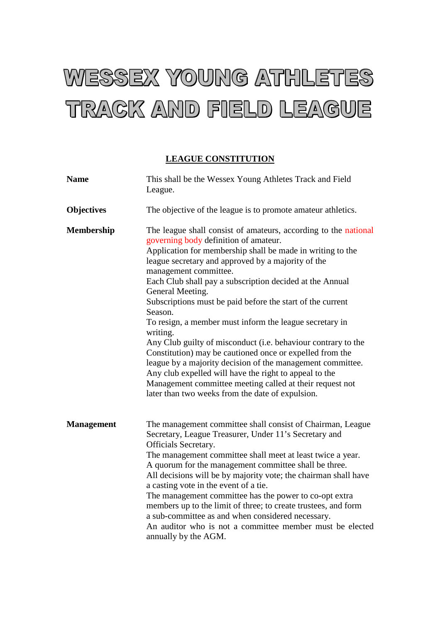## WESSEX YOUNG ATHLETES TRACK AND FIELD LEAGUE

## **LEAGUE CONSTITUTION**

| <b>Name</b>       | This shall be the Wessex Young Athletes Track and Field<br>League.                                                                                                                                                                                                                                                                                                                                                                                                                                                                                                                                                                                                                                                                                                                                                                                         |
|-------------------|------------------------------------------------------------------------------------------------------------------------------------------------------------------------------------------------------------------------------------------------------------------------------------------------------------------------------------------------------------------------------------------------------------------------------------------------------------------------------------------------------------------------------------------------------------------------------------------------------------------------------------------------------------------------------------------------------------------------------------------------------------------------------------------------------------------------------------------------------------|
| <b>Objectives</b> | The objective of the league is to promote amateur athletics.                                                                                                                                                                                                                                                                                                                                                                                                                                                                                                                                                                                                                                                                                                                                                                                               |
| <b>Membership</b> | The league shall consist of amateurs, according to the national<br>governing body definition of amateur.<br>Application for membership shall be made in writing to the<br>league secretary and approved by a majority of the<br>management committee.<br>Each Club shall pay a subscription decided at the Annual<br>General Meeting.<br>Subscriptions must be paid before the start of the current<br>Season.<br>To resign, a member must inform the league secretary in<br>writing.<br>Any Club guilty of misconduct (i.e. behaviour contrary to the<br>Constitution) may be cautioned once or expelled from the<br>league by a majority decision of the management committee.<br>Any club expelled will have the right to appeal to the<br>Management committee meeting called at their request not<br>later than two weeks from the date of expulsion. |
| <b>Management</b> | The management committee shall consist of Chairman, League<br>Secretary, League Treasurer, Under 11's Secretary and<br><b>Officials Secretary.</b><br>The management committee shall meet at least twice a year.<br>A quorum for the management committee shall be three.<br>All decisions will be by majority vote; the chairman shall have<br>a casting vote in the event of a tie.<br>The management committee has the power to co-opt extra<br>members up to the limit of three; to create trustees, and form<br>a sub-committee as and when considered necessary.<br>An auditor who is not a committee member must be elected<br>annually by the AGM.                                                                                                                                                                                                 |